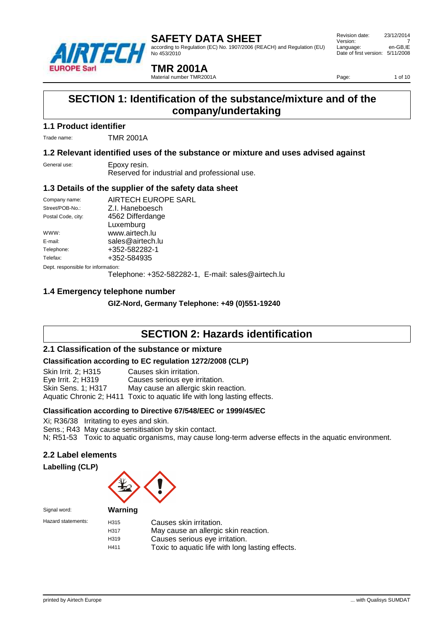

according to Regulation (EC) No. 1907/2006 (REACH) and Regulation (EU) No 453/2010

 Revision date: 23/12/2014 Version: 7<br>
Language: en-GB.IE Language: Date of first version: 5/11/2008

**TMR 2001A**

Material number TMR2001A

Page: 1 of 10

### **SECTION 1: Identification of the substance/mixture and of the company/undertaking**

#### **1.1 Product identifier**

Trade name: TMR 2001A

#### **1.2 Relevant identified uses of the substance or mixture and uses advised against**

General use: Epoxy resin.

Reserved for industrial and professional use.

#### **1.3 Details of the supplier of the safety data sheet**

| Company name:                      | AIRTECH EUROPE SARL                                |  |
|------------------------------------|----------------------------------------------------|--|
| Street/POB-No.:                    | Z.I. Haneboesch                                    |  |
| Postal Code, city:                 | 4562 Differdange                                   |  |
|                                    | Luxemburg                                          |  |
| WWW:                               | www.airtech.lu                                     |  |
| E-mail:                            | sales@airtech.lu                                   |  |
| Telephone:                         | +352-582282-1                                      |  |
| Telefax:                           | +352-584935                                        |  |
| Dept. responsible for information: |                                                    |  |
|                                    | Telephone: +352-582282-1, E-mail: sales@airtech.lu |  |
|                                    |                                                    |  |

#### **1.4 Emergency telephone number**

**GIZ-Nord, Germany Telephone: +49 (0)551-19240**

### **SECTION 2: Hazards identification**

#### **2.1 Classification of the substance or mixture**

#### **Classification according to EC regulation 1272/2008 (CLP)**

Skin Irrit. 2; H315 Causes skin irritation. Eye Irrit. 2; H319 Causes serious eye irritation. Skin Sens. 1; H317 May cause an allergic skin reaction. Aquatic Chronic 2; H411 Toxic to aquatic life with long lasting effects.

#### **Classification according to Directive 67/548/EEC or 1999/45/EC**

Xi; R36/38 Irritating to eyes and skin.

Sens.; R43 May cause sensitisation by skin contact.

N; R51-53 Toxic to aquatic organisms, may cause long-term adverse effects in the aquatic environment.

#### **2.2 Label elements**





| Signal word:       | Warning                                  |                                                                                                                                                       |
|--------------------|------------------------------------------|-------------------------------------------------------------------------------------------------------------------------------------------------------|
| Hazard statements: | H <sub>315</sub><br>H317<br>H319<br>H411 | Causes skin irritation.<br>May cause an allergic skin reaction.<br>Causes serious eye irritation.<br>Toxic to aquatic life with long lasting effects. |
|                    |                                          |                                                                                                                                                       |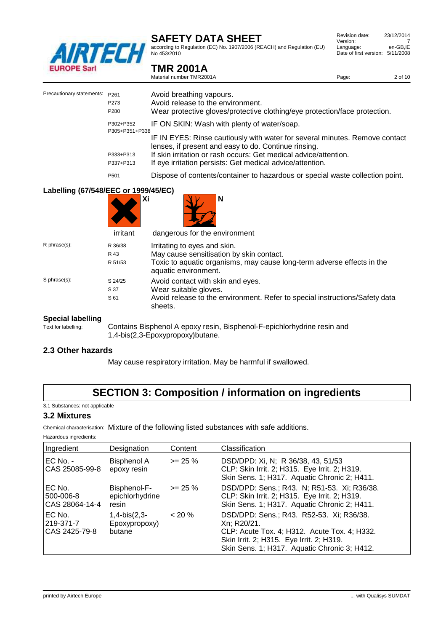

**TMR 2001A**

according to Regulation (EC) No. 1907/2006 (REACH) and Regulation (EU) No 453/2010

| Revision date:                   | 23/12/2014 |
|----------------------------------|------------|
| Version:                         |            |
| Language:                        | en-GB.IE   |
| Date of first version: 5/11/2008 |            |
|                                  |            |

|                                      |                                          | Material number TMR2001A                                                                                                                                                                                                                                             | Page: | 2 of 10 |
|--------------------------------------|------------------------------------------|----------------------------------------------------------------------------------------------------------------------------------------------------------------------------------------------------------------------------------------------------------------------|-------|---------|
| Precautionary statements:            | P261<br>P273<br>P280                     | Avoid breathing vapours.<br>Avoid release to the environment.<br>Wear protective gloves/protective clothing/eye protection/face protection.                                                                                                                          |       |         |
|                                      | P302+P352                                | IF ON SKIN: Wash with plenty of water/soap.                                                                                                                                                                                                                          |       |         |
|                                      | P305+P351+P338<br>P333+P313<br>P337+P313 | IF IN EYES: Rinse cautiously with water for several minutes. Remove contact<br>lenses, if present and easy to do. Continue rinsing.<br>If skin irritation or rash occurs: Get medical advice/attention.<br>If eye irritation persists: Get medical advice/attention. |       |         |
|                                      | P501                                     | Dispose of contents/container to hazardous or special waste collection point.                                                                                                                                                                                        |       |         |
| Labelling (67/548/EEC or 1999/45/EC) | irritant                                 | N<br>Хi<br>dangerous for the environment                                                                                                                                                                                                                             |       |         |
| R phrase(s):                         | R 36/38<br>R 43<br>R 51/53               | Irritating to eyes and skin.<br>May cause sensitisation by skin contact.<br>Toxic to aquatic organisms, may cause long-term adverse effects in the<br>aquatic environment.                                                                                           |       |         |
| S phrase(s):                         | S 24/25<br>S 37<br>S 61                  | Avoid contact with skin and eyes.<br>Wear suitable gloves.<br>Avoid release to the environment. Refer to special instructions/Safety data                                                                                                                            |       |         |

# **Special labelling**<br>Text for labelling:

Contains Bisphenol A epoxy resin, Bisphenol-F-epichlorhydrine resin and 1,4-bis(2,3-Epoxypropoxy)butane.

#### **2.3 Other hazards**

May cause respiratory irritation. May be harmful if swallowed.

### **SECTION 3: Composition / information on ingredients**

3.1 Substances: not applicable

#### **3.2 Mixtures**

Chemical characterisation: Mixture of the following listed substances with safe additions.

sheets.

Hazardous ingredients:

| Ingredient                            | Designation                               | Content    | Classification                                                                                                                                                                                      |
|---------------------------------------|-------------------------------------------|------------|-----------------------------------------------------------------------------------------------------------------------------------------------------------------------------------------------------|
| $EC$ No. -<br>CAS 25085-99-8          | <b>Bisphenol A</b><br>epoxy resin         | $>= 25 \%$ | DSD/DPD: Xi, N; R 36/38, 43, 51/53<br>CLP: Skin Irrit. 2; H315. Eye Irrit. 2; H319.<br>Skin Sens. 1; H317. Aquatic Chronic 2; H411.                                                                 |
| EC No.<br>500-006-8<br>CAS 28064-14-4 | Bisphenol-F-<br>epichlorhydrine<br>resin  | $>= 25 \%$ | DSD/DPD: Sens.; R43. N; R51-53. Xi; R36/38.<br>CLP: Skin Irrit. 2; H315. Eye Irrit. 2; H319.<br>Skin Sens. 1; H317. Aquatic Chronic 2; H411.                                                        |
| EC No.<br>219-371-7<br>CAS 2425-79-8  | $1,4-bis(2,3-$<br>Epoxypropoxy)<br>butane | $< 20 \%$  | DSD/DPD: Sens.; R43. R52-53. Xi; R36/38.<br>Xn: R20/21.<br>CLP: Acute Tox. 4; H312. Acute Tox. 4; H332.<br>Skin Irrit. 2; H315. Eye Irrit. 2; H319.<br>Skin Sens. 1; H317. Aquatic Chronic 3; H412. |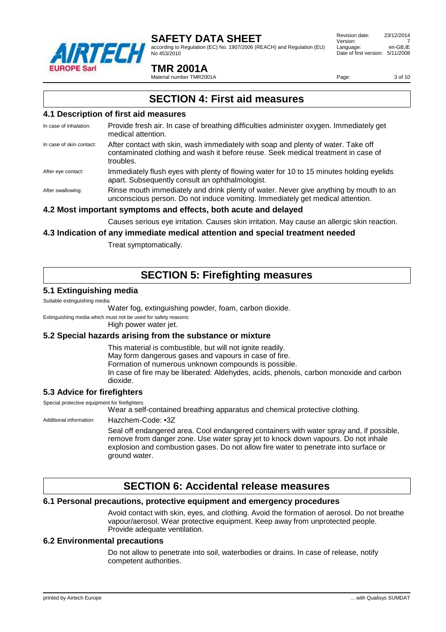

according to Regulation (EC) No. 1907/2006 (REACH) and Regulation (EU) No 453/2010

 Revision date: 23/12/2014 Version: Language: en-GB,IE Date of first version: 5/11/2008

#### **TMR 2001A**

Material number TMR2001A

Page: 3 of 10

### **SECTION 4: First aid measures**

#### **4.1 Description of first aid measures**

- In case of inhalation: Provide fresh air. In case of breathing difficulties administer oxygen. Immediately get medical attention.
- In case of skin contact: After contact with skin, wash immediately with soap and plenty of water. Take off contaminated clothing and wash it before reuse. Seek medical treatment in case of troubles.
- After eye contact: Immediately flush eyes with plenty of flowing water for 10 to 15 minutes holding eyelids apart. Subsequently consult an ophthalmologist.

After swallowing: Rinse mouth immediately and drink plenty of water. Never give anything by mouth to an unconscious person. Do not induce vomiting. Immediately get medical attention.

#### **4.2 Most important symptoms and effects, both acute and delayed**

Causes serious eye irritation. Causes skin irritation. May cause an allergic skin reaction.

#### **4.3 Indication of any immediate medical attention and special treatment needed**

Treat symptomatically.

### **SECTION 5: Firefighting measures**

#### **5.1 Extinguishing media**

#### Suitable extinguishing media:

Water fog, extinguishing powder, foam, carbon dioxide.

Extinguishing media which must not be used for safety reasons:

High power water jet.

#### **5.2 Special hazards arising from the substance or mixture**

This material is combustible, but will not ignite readily. May form dangerous gases and vapours in case of fire. Formation of numerous unknown compounds is possible. In case of fire may be liberated: Aldehydes, acids, phenols, carbon monoxide and carbon dioxide.

#### **5.3 Advice for firefighters**

Special protective equipment for firefighters:

Wear a self-contained breathing apparatus and chemical protective clothing.

Additional information: Hazchem-Code: •3Z

Seal off endangered area. Cool endangered containers with water spray and, if possible, remove from danger zone. Use water spray jet to knock down vapours. Do not inhale explosion and combustion gases. Do not allow fire water to penetrate into surface or ground water.

### **SECTION 6: Accidental release measures**

#### **6.1 Personal precautions, protective equipment and emergency procedures**

Avoid contact with skin, eyes, and clothing. Avoid the formation of aerosol. Do not breathe vapour/aerosol. Wear protective equipment. Keep away from unprotected people. Provide adequate ventilation.

#### **6.2 Environmental precautions**

Do not allow to penetrate into soil, waterbodies or drains. In case of release, notify competent authorities.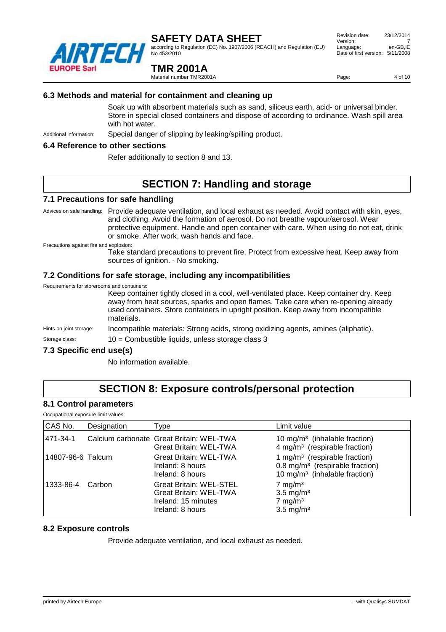

according to Regulation (EC) No. 1907/2006 (REACH) and Regulation (EU) No 453/2010

#### **TMR 2001A**

Material number TMR2001A

 Revision date: 23/12/2014 Version: 7<br>
Language: en-GB.IE Language: Date of first version: 5/11/2008

Page: 4 of 10

#### **6.3 Methods and material for containment and cleaning up**

Soak up with absorbent materials such as sand, siliceus earth, acid- or universal binder. Store in special closed containers and dispose of according to ordinance. Wash spill area with hot water.

Additional information: Special danger of slipping by leaking/spilling product.

#### **6.4 Reference to other sections**

Refer additionally to section 8 and 13.

### **SECTION 7: Handling and storage**

#### **7.1 Precautions for safe handling**

Advices on safe handling: Provide adequate ventilation, and local exhaust as needed. Avoid contact with skin, eyes, and clothing. Avoid the formation of aerosol. Do not breathe vapour/aerosol. Wear protective equipment. Handle and open container with care. When using do not eat, drink or smoke. After work, wash hands and face.

Precautions against fire and explosion:

Take standard precautions to prevent fire. Protect from excessive heat. Keep away from sources of ignition. - No smoking.

#### **7.2 Conditions for safe storage, including any incompatibilities**

| Requirements for storerooms and containers: | Keep container tightly closed in a cool, well-ventilated place. Keep container dry. Keep<br>away from heat sources, sparks and open flames. Take care when re-opening already<br>used containers. Store containers in upright position. Keep away from incompatible<br>materials. |
|---------------------------------------------|-----------------------------------------------------------------------------------------------------------------------------------------------------------------------------------------------------------------------------------------------------------------------------------|
| Hints on joint storage:                     | Incompatible materials: Strong acids, strong oxidizing agents, amines (aliphatic).                                                                                                                                                                                                |
| Storage class:                              | 10 = Combustible liquids, unless storage class 3                                                                                                                                                                                                                                  |

#### **7.3 Specific end use(s)**

No information available.

### **SECTION 8: Exposure controls/personal protection**

#### **8.1 Control parameters**

| Occupational exposure limit values: |  |
|-------------------------------------|--|
|                                     |  |

| CAS No.           | Designation | Type                                                                                                       | Limit value                                                                                                                           |
|-------------------|-------------|------------------------------------------------------------------------------------------------------------|---------------------------------------------------------------------------------------------------------------------------------------|
| 471-34-1          |             | Calcium carbonate Great Britain: WEL-TWA<br><b>Great Britain: WEL-TWA</b>                                  | 10 mg/m <sup>3</sup> (inhalable fraction)<br>4 mg/m <sup>3</sup> (respirable fraction)                                                |
| 14807-96-6 Talcum |             | <b>Great Britain: WEL-TWA</b><br>Ireland: 8 hours<br>Ireland: 8 hours                                      | 1 mg/m <sup>3</sup> (respirable fraction)<br>0.8 mg/m <sup>3</sup> (respirable fraction)<br>10 mg/m <sup>3</sup> (inhalable fraction) |
| 1333-86-4         | Carbon      | <b>Great Britain: WEL-STEL</b><br><b>Great Britain: WEL-TWA</b><br>Ireland: 15 minutes<br>Ireland: 8 hours | $7 \text{ mg/m}^3$<br>$3.5 \text{ mg/m}^3$<br>$7 \text{ mg/m}^3$<br>$3.5 \text{ mg/m}^3$                                              |

#### **8.2 Exposure controls**

Provide adequate ventilation, and local exhaust as needed.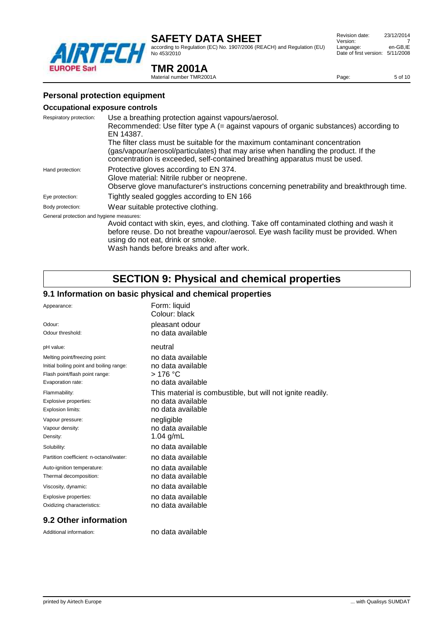

**TMR 2001A** Material number TMR2001A

according to Regulation (EC) No. 1907/2006 (REACH) and Regulation (EU) No 453/2010

#### Revision date: 23/12/2014 Version: 7<br>
Language: en-GB.IE Language: Date of first version: 5/11/2008

Page: 5 of 10

#### **Personal protection equipment**

#### **Occupational exposure controls**

| Respiratory protection:                  | Use a breathing protection against vapours/aerosol.                                                                                                                                                                                              |
|------------------------------------------|--------------------------------------------------------------------------------------------------------------------------------------------------------------------------------------------------------------------------------------------------|
|                                          | Recommended: Use filter type A (= against vapours of organic substances) according to                                                                                                                                                            |
|                                          | EN 14387.                                                                                                                                                                                                                                        |
|                                          | The filter class must be suitable for the maximum contaminant concentration<br>(gas/vapour/aerosol/particulates) that may arise when handling the product. If the<br>concentration is exceeded, self-contained breathing apparatus must be used. |
| Hand protection:                         | Protective gloves according to EN 374.                                                                                                                                                                                                           |
|                                          | Glove material: Nitrile rubber or neoprene.                                                                                                                                                                                                      |
|                                          | Observe glove manufacturer's instructions concerning penetrability and breakthrough time.                                                                                                                                                        |
| Eye protection:                          | Tightly sealed goggles according to EN 166                                                                                                                                                                                                       |
| Body protection:                         | Wear suitable protective clothing.                                                                                                                                                                                                               |
| General protection and hygiene measures: |                                                                                                                                                                                                                                                  |
|                                          | Avoid contact with skin, eyes, and clothing. Take off contaminated clothing and wash it                                                                                                                                                          |
|                                          | before reuse. Do not breathe vapour/aerosol. Eye wash facility must be provided. When<br>using do not eat, drink or smoke.                                                                                                                       |

Wash hands before breaks and after work.

### **SECTION 9: Physical and chemical properties**

### **9.1 Information on basic physical and chemical properties**

| Appearance:                              | Form: liquid<br>Colour: black                              |
|------------------------------------------|------------------------------------------------------------|
| Odour:                                   | pleasant odour                                             |
| Odour threshold:                         | no data available                                          |
| pH value:                                | neutral                                                    |
| Melting point/freezing point:            | no data available                                          |
| Initial boiling point and boiling range: | no data available                                          |
| Flash point/flash point range:           | $>176$ °C                                                  |
| Evaporation rate:                        | no data available                                          |
| Flammability:                            | This material is combustible, but will not ignite readily. |
| Explosive properties:                    | no data available                                          |
| Explosion limits:                        | no data available                                          |
| Vapour pressure:                         | negligible                                                 |
| Vapour density:                          | no data available                                          |
| Density:                                 | 1.04 $g/mL$                                                |
| Solubility:                              | no data available                                          |
| Partition coefficient: n-octanol/water:  | no data available                                          |
| Auto-ignition temperature:               | no data available                                          |
| Thermal decomposition:                   | no data available                                          |
| Viscosity, dynamic:                      | no data available                                          |
| Explosive properties:                    | no data available                                          |
| Oxidizing characteristics:               | no data available                                          |

#### **9.2 Other information**

Additional information: no data available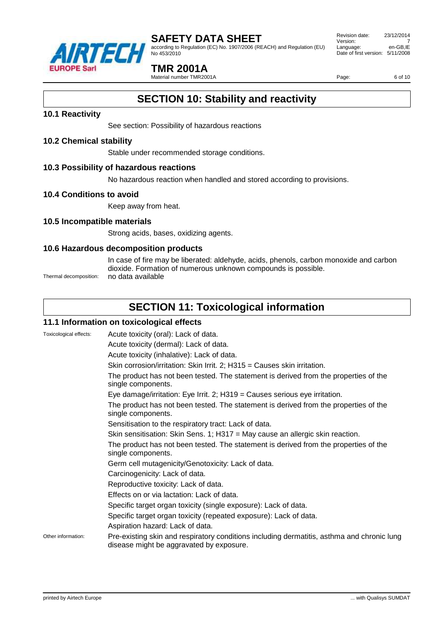

according to Regulation (EC) No. 1907/2006 (REACH) and Regulation (EU) No 453/2010

 Revision date: 23/12/2014 Version: 7<br>
Language: en-GB.IE Language: Date of first version: 5/11/2008

#### **TMR 2001A**

Material number TMR2001A

Page: 6 of 10

### **SECTION 10: Stability and reactivity**

#### **10.1 Reactivity**

See section: Possibility of hazardous reactions

#### **10.2 Chemical stability**

Stable under recommended storage conditions.

#### **10.3 Possibility of hazardous reactions**

No hazardous reaction when handled and stored according to provisions.

#### **10.4 Conditions to avoid**

Keep away from heat.

#### **10.5 Incompatible materials**

Strong acids, bases, oxidizing agents.

#### **10.6 Hazardous decomposition products**

In case of fire may be liberated: aldehyde, acids, phenols, carbon monoxide and carbon dioxide. Formation of numerous unknown compounds is possible. Thermal decomposition: no data available

### **SECTION 11: Toxicological information**

#### **11.1 Information on toxicological effects**

| Toxicological effects: | Acute toxicity (oral): Lack of data.                                                                                                   |
|------------------------|----------------------------------------------------------------------------------------------------------------------------------------|
|                        | Acute toxicity (dermal): Lack of data.                                                                                                 |
|                        | Acute toxicity (inhalative): Lack of data.                                                                                             |
|                        | Skin corrosion/irritation: Skin Irrit. 2; H315 = Causes skin irritation.                                                               |
|                        | The product has not been tested. The statement is derived from the properties of the<br>single components.                             |
|                        | Eye damage/irritation: Eye Irrit. 2; H319 = Causes serious eye irritation.                                                             |
|                        | The product has not been tested. The statement is derived from the properties of the<br>single components.                             |
|                        | Sensitisation to the respiratory tract: Lack of data.                                                                                  |
|                        | Skin sensitisation: Skin Sens. 1; H317 = May cause an allergic skin reaction.                                                          |
|                        | The product has not been tested. The statement is derived from the properties of the<br>single components.                             |
|                        | Germ cell mutagenicity/Genotoxicity: Lack of data.                                                                                     |
|                        | Carcinogenicity: Lack of data.                                                                                                         |
|                        | Reproductive toxicity: Lack of data.                                                                                                   |
|                        | Effects on or via lactation: Lack of data.                                                                                             |
|                        | Specific target organ toxicity (single exposure): Lack of data.                                                                        |
|                        | Specific target organ toxicity (repeated exposure): Lack of data.                                                                      |
|                        | Aspiration hazard: Lack of data.                                                                                                       |
| Other information:     | Pre-existing skin and respiratory conditions including dermatitis, asthma and chronic lung<br>disease might be aggravated by exposure. |
|                        |                                                                                                                                        |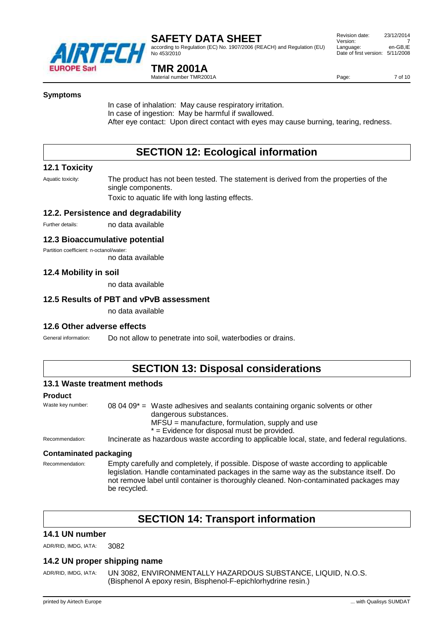

according to Regulation (EC) No. 1907/2006 (REACH) and Regulation (EU) No 453/2010

### **TMR 2001A**

Material number TMR2001A

Page: 7 of 10

#### **Symptoms**

In case of inhalation: May cause respiratory irritation. In case of ingestion: May be harmful if swallowed. After eye contact: Upon direct contact with eyes may cause burning, tearing, redness.

### **SECTION 12: Ecological information**

#### **12.1 Toxicity**

Aquatic toxicity: The product has not been tested. The statement is derived from the properties of the single components.

Toxic to aquatic life with long lasting effects.

#### **12.2. Persistence and degradability**

Further details: no data available

#### **12.3 Bioaccumulative potential**

Partition coefficient: n-octanol/water:

no data available

#### **12.4 Mobility in soil**

no data available

#### **12.5 Results of PBT and vPvB assessment**

no data available

#### **12.6 Other adverse effects**

General information: Do not allow to penetrate into soil, waterbodies or drains.

### **SECTION 13: Disposal considerations**

#### **13.1 Waste treatment methods**

#### **Product**

Waste key number:  $080409^*$  = Waste adhesives and sealants containing organic solvents or other dangerous substances.  $MFSU =$  manufacture, formulation, supply and use \* = Evidence for disposal must be provided. Recommendation: Incinerate as hazardous waste according to applicable local, state, and federal regulations.

#### **Contaminated packaging**

Recommendation: Empty carefully and completely, if possible. Dispose of waste according to applicable legislation. Handle contaminated packages in the same way as the substance itself. Do not remove label until container is thoroughly cleaned. Non-contaminated packages may be recycled.

### **SECTION 14: Transport information**

#### **14.1 UN number**

ADR/RID, IMDG, IATA: 3082

#### **14.2 UN proper shipping name**

ADR/RID, IMDG, IATA: UN 3082, ENVIRONMENTALLY HAZARDOUS SUBSTANCE, LIQUID, N.O.S. (Bisphenol A epoxy resin, Bisphenol-F-epichlorhydrine resin.)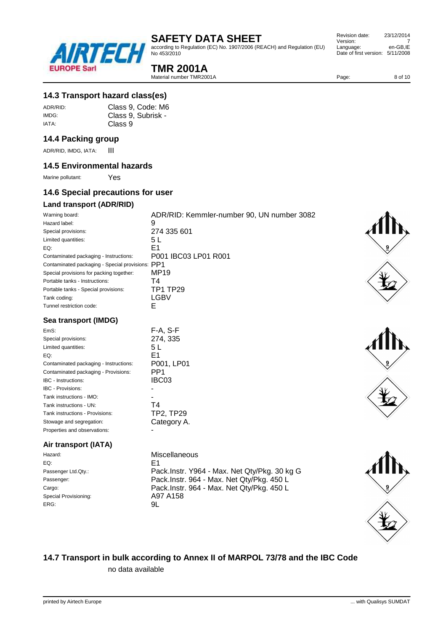

according to Regulation (EC) No. 1907/2006 (REACH) and Regulation (EU) No 453/2010

| Revision date:         | 23/12/2014 |
|------------------------|------------|
| Version:               |            |
| Language:              | en-GB.IE   |
| Date of first version: | 5/11/2008  |

### **TMR 2001A**

Material number TMR2001A

Page: 8 of 10

#### **14.3 Transport hazard class(es)**

| ADR/RID: | Class 9, Code: M6  |
|----------|--------------------|
| IMDG:    | Class 9, Subrisk - |
| IATA:    | Class 9            |

#### **14.4 Packing group**

ADR/RID, IMDG, IATA: **III** 

#### **14.5 Environmental hazards**

Marine pollutant: Yes

#### **14.6 Special precautions for user**

#### **Land transport (ADR/RID)**

| Warning board:                                   | ADR/RID: Kemmler-number 90, UN number 3082 |
|--------------------------------------------------|--------------------------------------------|
| Hazard label:                                    | 9                                          |
| Special provisions:                              | 274 335 601                                |
| Limited quantities:                              | 5 L                                        |
| EQ:                                              | E1                                         |
| Contaminated packaging - Instructions:           | P001 IBC03 LP01 R001                       |
| Contaminated packaging - Special provisions: PP1 |                                            |
| Special provisions for packing together:         | MP19                                       |
| Portable tanks - Instructions:                   | Τ4                                         |
| Portable tanks - Special provisions:             | TP1 TP29                                   |
| Tank coding:                                     | LGBV                                       |
| Tunnel restriction code:                         | E                                          |

#### **Sea transport (IMDG)**

| EmS:                                   | F-A, S-F    |
|----------------------------------------|-------------|
| Special provisions:                    | 274, 335    |
| Limited quantities:                    | 5 L         |
| EQ:                                    | F1          |
| Contaminated packaging - Instructions: | P001, LP01  |
| Contaminated packaging - Provisions:   | PP1         |
| <b>IBC</b> - Instructions:             | IBC03       |
| <b>IBC - Provisions:</b>               |             |
| Tank instructions - IMO:               |             |
| Tank instructions - UN:                | T4          |
| Tank instructions - Provisions:        | TP2, TP29   |
| Stowage and segregation:               | Category A. |
| Properties and observations:           |             |
|                                        |             |

#### **Air transport (IATA)**

| Hazard:               | Mi: |
|-----------------------|-----|
| EQ:                   | E1  |
| Passenger Ltd.Qty.:   | Pа  |
| Passenger:            | Pа  |
| Cargo:                | Pа  |
| Special Provisioning: | A9  |
| ERG:                  | 9I. |
|                       |     |

Miscellaneous<br>E1 Pack.Instr. Y964 - Max. Net Qty/Pkg. 30 kg G Pack.Instr. 964 - Max. Net Qty/Pkg. 450 L Pack.Instr. 964 - Max. Net Qty/Pkg. 450 L A97 A158<br>9L





# **14.7 Transport in bulk according to Annex II of MARPOL 73/78 and the IBC Code**

no data available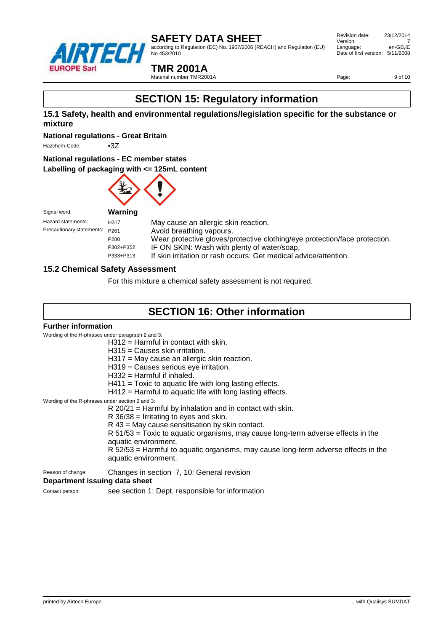

according to Regulation (EC) No. 1907/2006 (REACH) and Regulation (EU) No 453/2010

 Revision date: 23/12/2014 Version: 7<br>
Language: en-GB.IE Language: Date of first version: 5/11/2008

#### **TMR 2001A**

Material number TMR2001A

Page: 9 of 10

## **SECTION 15: Regulatory information**

#### **15.1 Safety, health and environmental regulations/legislation specific for the substance or mixture**

**National regulations - Great Britain**

Hazchem-Code: •37

#### **National regulations - EC member states**

#### **Labelling of packaging with <= 125mL content**



| Signal word:                 |                |
|------------------------------|----------------|
| Hazard statements:           | HЗ             |
| Precautionary statements: P2 |                |
|                              | P <sub>2</sub> |
|                              |                |

17 May cause an allergic skin reaction. <sup>261</sup> Precautional Avoid breathing vapours. 80 Wear protective gloves/protective clothing/eye protection/face protection. P302+P352 IF ON SKIN: Wash with plenty of water/soap. P333+P313 If skin irritation or rash occurs: Get medical advice/attention.

#### **15.2 Chemical Safety Assessment**

For this mixture a chemical safety assessment is not required.

### **SECTION 16: Other information**

#### **Further information**

Wording of the H-phrases under paragraph 2 and 3:

| $H312$ = Harmful in contact with skin. |  |  |  |
|----------------------------------------|--|--|--|
|                                        |  |  |  |

- H315 = Causes skin irritation.
- H317 = May cause an allergic skin reaction.
- H319 = Causes serious eye irritation.
- H332 = Harmful if inhaled.
- H411 = Toxic to aquatic life with long lasting effects.
- H412 = Harmful to aquatic life with long lasting effects.

Wording of the R-phrases under section 2 and 3:

- R 20/21 = Harmful by inhalation and in contact with skin.
- R 36/38 = Irritating to eyes and skin.
	- R 43 = May cause sensitisation by skin contact.

R 51/53 = Toxic to aquatic organisms, may cause long-term adverse effects in the aquatic environment.

R 52/53 = Harmful to aquatic organisms, may cause long-term adverse effects in the aquatic environment.

Reason of change: Changes in section 7, 10: General revision

#### **Department issuing data sheet**

Contact person: see section 1: Dept. responsible for information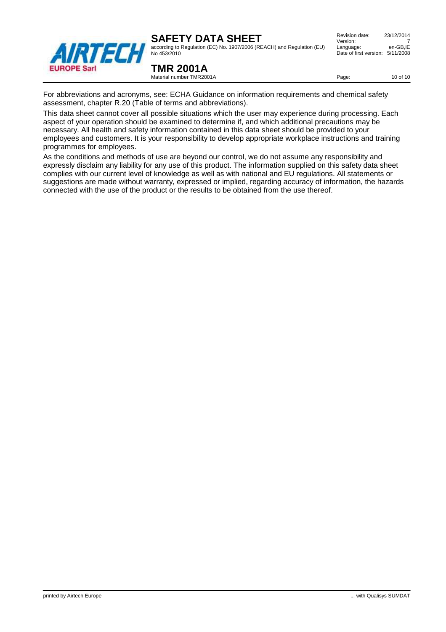according to Regulation (EC) No. 1907/2006 (REACH) and Regulation (EU) No 453/2010

| Revision date:                   | 23/12/2014 |
|----------------------------------|------------|
| Version:                         |            |
| Language:                        | en-GB.IE   |
| Date of first version: 5/11/2008 |            |
|                                  |            |



**TMR 2001A** Material number TMR2001A

Page: 10 of 10

For abbreviations and acronyms, see: ECHA Guidance on information requirements and chemical safety assessment, chapter R.20 (Table of terms and abbreviations).

This data sheet cannot cover all possible situations which the user may experience during processing. Each aspect of your operation should be examined to determine if, and which additional precautions may be necessary. All health and safety information contained in this data sheet should be provided to your employees and customers. It is your responsibility to develop appropriate workplace instructions and training programmes for employees.

As the conditions and methods of use are beyond our control, we do not assume any responsibility and expressly disclaim any liability for any use of this product. The information supplied on this safety data sheet complies with our current level of knowledge as well as with national and EU regulations. All statements or suggestions are made without warranty, expressed or implied, regarding accuracy of information, the hazards connected with the use of the product or the results to be obtained from the use thereof.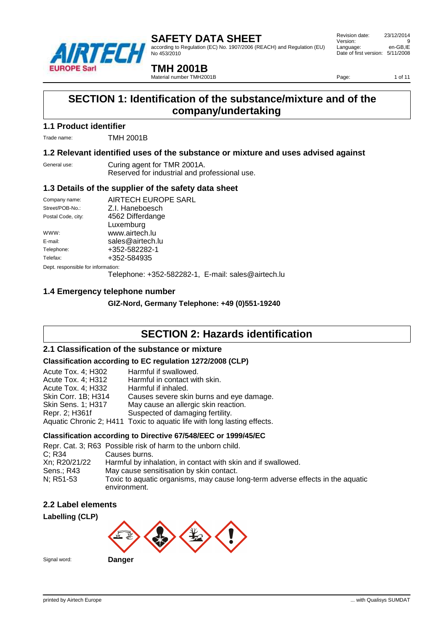

according to Regulation (EC) No. 1907/2006 (REACH) and Regulation (EU) No 453/2010

 Revision date: 23/12/2014 Version: 9<br>
Language: en-GB.IE Language: Date of first version: 5/11/2008

**TMH 2001B**

Material number TMH2001B

Page: 1 of 11

### **SECTION 1: Identification of the substance/mixture and of the company/undertaking**

#### **1.1 Product identifier**

Trade name: TMH 2001B

#### **1.2 Relevant identified uses of the substance or mixture and uses advised against**

General use: Curing agent for TMR 2001A. Reserved for industrial and professional use.

#### **1.3 Details of the supplier of the safety data sheet**

| Company name:                      | AIRTECH EUROPE SARL                                |
|------------------------------------|----------------------------------------------------|
|                                    |                                                    |
| Street/POB-No.:                    | Z.I. Haneboesch                                    |
| Postal Code, city:                 | 4562 Differdange                                   |
|                                    | Luxemburg                                          |
| WWW:                               | www.airtech.lu                                     |
| E-mail:                            | sales@airtech.lu                                   |
| Telephone:                         | +352-582282-1                                      |
| Telefax:                           | +352-584935                                        |
| Dept. responsible for information: |                                                    |
|                                    | Telephone: +352-582282-1, E-mail: sales@airtech.lu |

### **1.4 Emergency telephone number**

**GIZ-Nord, Germany Telephone: +49 (0)551-19240**

### **SECTION 2: Hazards identification**

#### **2.1 Classification of the substance or mixture**

#### **Classification according to EC regulation 1272/2008 (CLP)**

| Acute Tox. 4; H302<br>Acute Tox. 4; H312<br>Acute Tox. 4; H332<br>Skin Corr. 1B; H314<br>Skin Sens. 1; H317<br>Repr. 2; H361f | Harmful if swallowed.<br>Harmful in contact with skin.<br>Harmful if inhaled.<br>Causes severe skin burns and eye damage.<br>May cause an allergic skin reaction.<br>Suspected of damaging fertility.<br>Aquatic Chronic 2; H411 Toxic to aquatic life with long lasting effects. |
|-------------------------------------------------------------------------------------------------------------------------------|-----------------------------------------------------------------------------------------------------------------------------------------------------------------------------------------------------------------------------------------------------------------------------------|
|                                                                                                                               |                                                                                                                                                                                                                                                                                   |

#### **Classification according to Directive 67/548/EEC or 1999/45/EC**

|               | Repr. Cat. 3; R63 Possible risk of harm to the unborn child.                                   |
|---------------|------------------------------------------------------------------------------------------------|
| C: R34        | Causes burns.                                                                                  |
| Xn; R20/21/22 | Harmful by inhalation, in contact with skin and if swallowed.                                  |
| Sens.: R43    | May cause sensitisation by skin contact.                                                       |
| N: R51-53     | Toxic to aquatic organisms, may cause long-term adverse effects in the aquatic<br>environment. |

#### **2.2 Label elements**





Signal word: **Danger**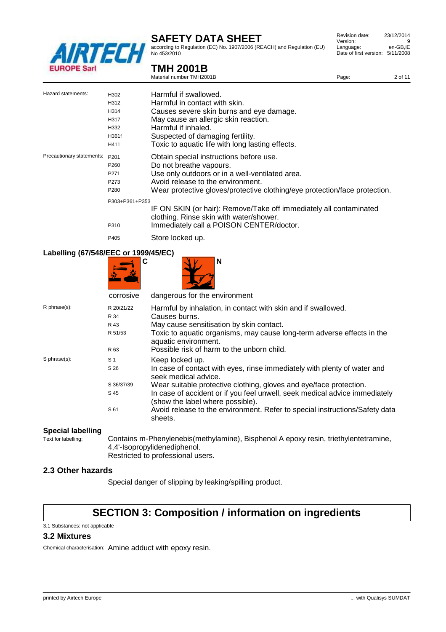

**TMH 2001B** Material number TMH2001B

according to Regulation (EC) No. 1907/2006 (REACH) and Regulation (EU) No 453/2010

| Revision date:         | 23/12/2014 |
|------------------------|------------|
| Version:               | 9          |
| Language:              | en-GB.IE   |
| Date of first version: | 5/11/2008  |
|                        |            |

|  | Date of |
|--|---------|
|  |         |
|  |         |

| Version:                         | 9        |
|----------------------------------|----------|
| Language:                        | en-GB,IE |
| Date of first version: 5/11/2008 |          |
|                                  |          |

|                           |                  | Material number TMH2001B                                                                   | Page: | 2 of 11 |
|---------------------------|------------------|--------------------------------------------------------------------------------------------|-------|---------|
| Hazard statements:        | H302             | Harmful if swallowed.                                                                      |       |         |
|                           | H312             | Harmful in contact with skin.                                                              |       |         |
|                           | H314             | Causes severe skin burns and eye damage.                                                   |       |         |
|                           | H317             | May cause an allergic skin reaction.                                                       |       |         |
|                           | H332             | Harmful if inhaled.                                                                        |       |         |
|                           | H361f            | Suspected of damaging fertility.                                                           |       |         |
|                           | H411             | Toxic to aquatic life with long lasting effects.                                           |       |         |
| Precautionary statements: | P <sub>201</sub> | Obtain special instructions before use.                                                    |       |         |
|                           | P <sub>260</sub> | Do not breathe vapours.                                                                    |       |         |
|                           | P <sub>271</sub> | Use only outdoors or in a well-ventilated area.                                            |       |         |
|                           | P273             | Avoid release to the environment.                                                          |       |         |
|                           | <b>DOOO</b>      | <u> 10 la avenda ativa elava algunta ativa elathin algun musta ating linna musta ating</u> |       |         |

P280 Wear protective gloves/protective clothing/eye protection/face protection. P303+P361+P353

- IF ON SKIN (or hair): Remove/Take off immediately all contaminated clothing. Rinse skin with water/shower. P310 Immediately call a POISON CENTER/doctor.
- P405 Store locked up.

### **Labelling (67/548/EEC or 1999/45/EC)**

| <b>Labcinity (0770-LLO 01 1999/FOLD)</b> |                                                      |                                                                                                                                                                                                                                                                                                                                                                                                       |  |  |
|------------------------------------------|------------------------------------------------------|-------------------------------------------------------------------------------------------------------------------------------------------------------------------------------------------------------------------------------------------------------------------------------------------------------------------------------------------------------------------------------------------------------|--|--|
|                                          | C                                                    | N                                                                                                                                                                                                                                                                                                                                                                                                     |  |  |
|                                          | corrosive                                            | dangerous for the environment                                                                                                                                                                                                                                                                                                                                                                         |  |  |
| R phrase(s):                             | R 20/21/22<br>R 34                                   | Harmful by inhalation, in contact with skin and if swallowed.<br>Causes burns.                                                                                                                                                                                                                                                                                                                        |  |  |
|                                          | R 51/53                                              | Toxic to aquatic organisms, may cause long-term adverse effects in the<br>aquatic environment.                                                                                                                                                                                                                                                                                                        |  |  |
| S phrase(s):                             | S <sub>1</sub><br>S 26<br>S 36/37/39<br>S 45<br>S 61 | Keep locked up.<br>In case of contact with eyes, rinse immediately with plenty of water and<br>seek medical advice.<br>Wear suitable protective clothing, gloves and eye/face protection.<br>In case of accident or if you feel unwell, seek medical advice immediately<br>(show the label where possible).<br>Avoid release to the environment. Refer to special instructions/Safety data<br>sheets. |  |  |
|                                          | R 43<br>R 63                                         | May cause sensitisation by skin contact.<br>Possible risk of harm to the unborn child.                                                                                                                                                                                                                                                                                                                |  |  |

# **Special labelling**<br>Text for labelling:

Contains m-Phenylenebis(methylamine), Bisphenol A epoxy resin, triethylentetramine, 4,4'-Isopropylidenediphenol.

Restricted to professional users.

#### **2.3 Other hazards**

Special danger of slipping by leaking/spilling product.

## **SECTION 3: Composition / information on ingredients**

### **3.2 Mixtures**

3.1 Substances: not applicable

Chemical characterisation: Amine adduct with epoxy resin.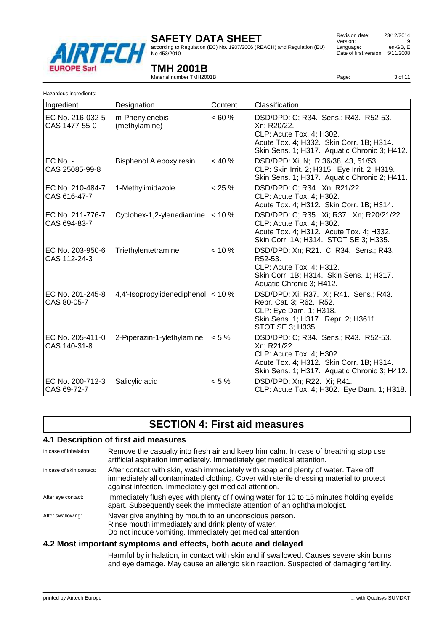

according to Regulation (EC) No. 1907/2006 (REACH) and Regulation (EU) No 453/2010

 Revision date: 23/12/2014 Version: 9<br>
Language: en-GB.IE Language: Date of first version: 5/11/2008

### **TMH 2001B**

Material number TMH2001B

Page: 3 of 11

| Hazardous ingredients:            |                                        |           |                                                                                                                                                                             |
|-----------------------------------|----------------------------------------|-----------|-----------------------------------------------------------------------------------------------------------------------------------------------------------------------------|
| Ingredient                        | Designation                            | Content   | Classification                                                                                                                                                              |
| EC No. 216-032-5<br>CAS 1477-55-0 | m-Phenylenebis<br>(methylamine)        | <60%      | DSD/DPD: C; R34. Sens.; R43. R52-53.<br>Xn; R20/22.<br>CLP: Acute Tox. 4; H302.<br>Acute Tox. 4; H332. Skin Corr. 1B; H314.<br>Skin Sens. 1; H317. Aquatic Chronic 3; H412. |
| $EC$ No. -<br>CAS 25085-99-8      | Bisphenol A epoxy resin                | $< 40 \%$ | DSD/DPD: Xi, N; R 36/38, 43, 51/53<br>CLP: Skin Irrit. 2; H315. Eye Irrit. 2; H319.<br>Skin Sens. 1; H317. Aquatic Chronic 2; H411.                                         |
| EC No. 210-484-7<br>CAS 616-47-7  | 1-Methylimidazole                      | $< 25 \%$ | DSD/DPD: C; R34. Xn; R21/22.<br>CLP: Acute Tox. 4; H302.<br>Acute Tox. 4; H312. Skin Corr. 1B; H314.                                                                        |
| EC No. 211-776-7<br>CAS 694-83-7  | Cyclohex-1,2-ylenediamine $<$ 10 %     |           | DSD/DPD: C; R35. Xi; R37. Xn; R20/21/22.<br>CLP: Acute Tox. 4; H302.<br>Acute Tox. 4; H312. Acute Tox. 4; H332.<br>Skin Corr. 1A; H314. STOT SE 3; H335.                    |
| EC No. 203-950-6<br>CAS 112-24-3  | Triethylentetramine                    | $< 10 \%$ | DSD/DPD: Xn; R21. C; R34. Sens.; R43.<br>R52-53.<br>CLP: Acute Tox. 4; H312.<br>Skin Corr. 1B; H314. Skin Sens. 1; H317.<br>Aquatic Chronic 3; H412.                        |
| EC No. 201-245-8<br>CAS 80-05-7   | 4,4'-Isopropylidenediphenol $\lt$ 10 % |           | DSD/DPD: Xi; R37. Xi; R41. Sens.; R43.<br>Repr. Cat. 3; R62. R52.<br>CLP: Eye Dam. 1; H318.<br>Skin Sens. 1; H317. Repr. 2; H361f.<br>STOT SE 3; H335.                      |
| EC No. 205-411-0<br>CAS 140-31-8  | 2-Piperazin-1-ylethylamine             | $< 5 \%$  | DSD/DPD: C; R34. Sens.; R43. R52-53.<br>Xn; R21/22.<br>CLP: Acute Tox. 4; H302.<br>Acute Tox. 4; H312. Skin Corr. 1B; H314.<br>Skin Sens. 1; H317. Aquatic Chronic 3; H412. |
| EC No. 200-712-3<br>CAS 69-72-7   | Salicylic acid                         | $< 5 \%$  | DSD/DPD: Xn; R22. Xi; R41.<br>CLP: Acute Tox. 4; H302. Eye Dam. 1; H318.                                                                                                    |

### **SECTION 4: First aid measures**

#### **4.1 Description of first aid measures**

| In case of inhalation:   | Remove the casualty into fresh air and keep him calm. In case of breathing stop use<br>artificial aspiration immediately. Immediately get medical attention.                                                                         |
|--------------------------|--------------------------------------------------------------------------------------------------------------------------------------------------------------------------------------------------------------------------------------|
| In case of skin contact: | After contact with skin, wash immediately with soap and plenty of water. Take off<br>immediately all contaminated clothing. Cover with sterile dressing material to protect<br>against infection. Immediately get medical attention. |
| After eye contact:       | Immediately flush eyes with plenty of flowing water for 10 to 15 minutes holding eyelids<br>apart. Subsequently seek the immediate attention of an ophthalmologist.                                                                  |
| After swallowing:        | Never give anything by mouth to an unconscious person.<br>Rinse mouth immediately and drink plenty of water.<br>Do not induce vomiting. Immediately get medical attention.                                                           |

#### **4.2 Most important symptoms and effects, both acute and delayed**

Harmful by inhalation, in contact with skin and if swallowed. Causes severe skin burns and eye damage. May cause an allergic skin reaction. Suspected of damaging fertility.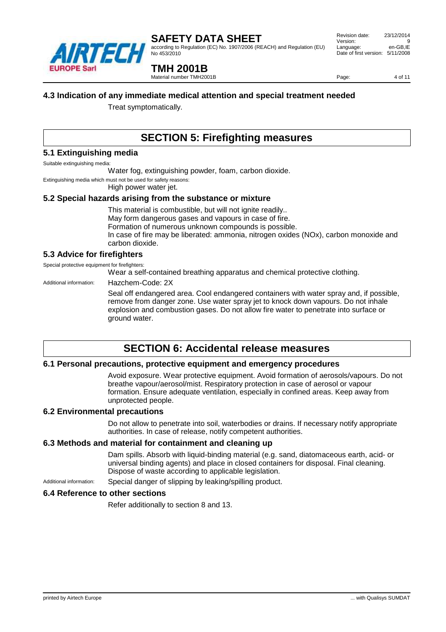

according to Regulation (EC) No. 1907/2006 (REACH) and Regulation (EU) No 453/2010

 Revision date: 23/12/2014 Version: Language: en-GB,IE Date of first version: 5/11/2008

### **TMH 2001B**

Material number TMH2001B

Page: 4 of 11

#### **4.3 Indication of any immediate medical attention and special treatment needed**

Treat symptomatically.

### **SECTION 5: Firefighting measures**

#### **5.1 Extinguishing media**

Suitable extinguishing media:

Water fog, extinguishing powder, foam, carbon dioxide.

Extinguishing media which must not be used for safety reasons:

High power water jet.

#### **5.2 Special hazards arising from the substance or mixture**

This material is combustible, but will not ignite readily.. May form dangerous gases and vapours in case of fire. Formation of numerous unknown compounds is possible. In case of fire may be liberated: ammonia, nitrogen oxides (NOx), carbon monoxide and carbon dioxide.

#### **5.3 Advice for firefighters**

Special protective equipment for firefighters:

Wear a self-contained breathing apparatus and chemical protective clothing.

Additional information: Hazchem-Code: 2X

Seal off endangered area. Cool endangered containers with water spray and, if possible, remove from danger zone. Use water spray jet to knock down vapours. Do not inhale explosion and combustion gases. Do not allow fire water to penetrate into surface or ground water.

### **SECTION 6: Accidental release measures**

#### **6.1 Personal precautions, protective equipment and emergency procedures**

Avoid exposure. Wear protective equipment. Avoid formation of aerosols/vapours. Do not breathe vapour/aerosol/mist. Respiratory protection in case of aerosol or vapour formation. Ensure adequate ventilation, especially in confined areas. Keep away from unprotected people.

#### **6.2 Environmental precautions**

Do not allow to penetrate into soil, waterbodies or drains. If necessary notify appropriate authorities. In case of release, notify competent authorities.

#### **6.3 Methods and material for containment and cleaning up**

Dam spills. Absorb with liquid-binding material (e.g. sand, diatomaceous earth, acid- or universal binding agents) and place in closed containers for disposal. Final cleaning. Dispose of waste according to applicable legislation.

Additional information: Special danger of slipping by leaking/spilling product.

#### **6.4 Reference to other sections**

Refer additionally to section 8 and 13.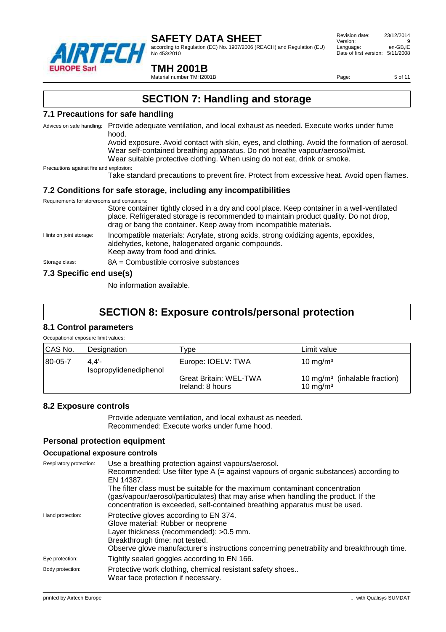

according to Regulation (EC) No. 1907/2006 (REACH) and Regulation (EU) No 453/2010

 Revision date: 23/12/2014 Version: 9<br>
Language: en-GB.IE Language: Date of first version: 5/11/2008

#### **TMH 2001B**

Material number TMH2001B

Page: 5 of 11

### **SECTION 7: Handling and storage**

#### **7.1 Precautions for safe handling**

Advices on safe handling: Provide adequate ventilation, and local exhaust as needed. Execute works under fume hood.

> Avoid exposure. Avoid contact with skin, eyes, and clothing. Avoid the formation of aerosol. Wear self-contained breathing apparatus. Do not breathe vapour/aerosol/mist. Wear suitable protective clothing. When using do not eat, drink or smoke.

Precautions against fire and explosion:

Take standard precautions to prevent fire. Protect from excessive heat. Avoid open flames.

#### **7.2 Conditions for safe storage, including any incompatibilities**

| Requirements for storerooms and containers:                                                                                                                                                                                                                                                                                                           |                                                                                                                                                                                                                                                           |
|-------------------------------------------------------------------------------------------------------------------------------------------------------------------------------------------------------------------------------------------------------------------------------------------------------------------------------------------------------|-----------------------------------------------------------------------------------------------------------------------------------------------------------------------------------------------------------------------------------------------------------|
|                                                                                                                                                                                                                                                                                                                                                       | Store container tightly closed in a dry and cool place. Keep container in a well-ventilated<br>place. Refrigerated storage is recommended to maintain product quality. Do not drop,<br>drag or bang the container. Keep away from incompatible materials. |
| Hints on joint storage:                                                                                                                                                                                                                                                                                                                               | Incompatible materials: Acrylate, strong acids, strong oxidizing agents, epoxides,<br>aldehydes, ketone, halogenated organic compounds.<br>Keep away from food and drinks.                                                                                |
| Storage class:                                                                                                                                                                                                                                                                                                                                        | $8A =$ Combustible corrosive substances                                                                                                                                                                                                                   |
| $\overline{z}$ 0.0 $\overline{z}$ = $\overline{z}$ = $\overline{z}$ = $\overline{z}$ = $\overline{z}$ = $\overline{z}$ = $\overline{z}$ = $\overline{z}$ = $\overline{z}$ = $\overline{z}$ = $\overline{z}$ = $\overline{z}$ = $\overline{z}$ = $\overline{z}$ = $\overline{z}$ = $\overline{z}$ = $\overline{z}$ = $\overline{z}$ = $\overline{z}$ = |                                                                                                                                                                                                                                                           |

#### **7.3 Specific end use(s)**

No information available.

### **SECTION 8: Exposure controls/personal protection**

#### **8.1 Control parameters** Occupational exposure limit values:

| Occupational exposure illuit values. |                                |                                                   |                                                                   |
|--------------------------------------|--------------------------------|---------------------------------------------------|-------------------------------------------------------------------|
| CAS No.                              | Designation                    | vpe                                               | Limit value                                                       |
| 80-05-7                              | 4.4'<br>Isopropylidenediphenol | Europe: IOELV: TWA                                | 10 mg/m <sup>3</sup>                                              |
|                                      |                                | <b>Great Britain: WEL-TWA</b><br>Ireland: 8 hours | 10 mg/m <sup>3</sup> (inhalable fraction)<br>10 mg/m <sup>3</sup> |

#### **8.2 Exposure controls**

Provide adequate ventilation, and local exhaust as needed. Recommended: Execute works under fume hood.

#### **Personal protection equipment**

#### **Occupational exposure controls**

| Respiratory protection: | Use a breathing protection against vapours/aerosol.<br>Recommended: Use filter type $A$ (= against vapours of organic substances) according to<br>EN 14387.<br>The filter class must be suitable for the maximum contaminant concentration<br>(gas/vapour/aerosol/particulates) that may arise when handling the product. If the<br>concentration is exceeded, self-contained breathing apparatus must be used. |
|-------------------------|-----------------------------------------------------------------------------------------------------------------------------------------------------------------------------------------------------------------------------------------------------------------------------------------------------------------------------------------------------------------------------------------------------------------|
| Hand protection:        | Protective gloves according to EN 374.<br>Glove material: Rubber or neoprene<br>Layer thickness (recommended): >0.5 mm.<br>Breakthrough time: not tested.<br>Observe glove manufacturer's instructions concerning penetrability and breakthrough time.                                                                                                                                                          |
| Eye protection:         | Tightly sealed goggles according to EN 166.                                                                                                                                                                                                                                                                                                                                                                     |
| Body protection:        | Protective work clothing, chemical resistant safety shoes<br>Wear face protection if necessary.                                                                                                                                                                                                                                                                                                                 |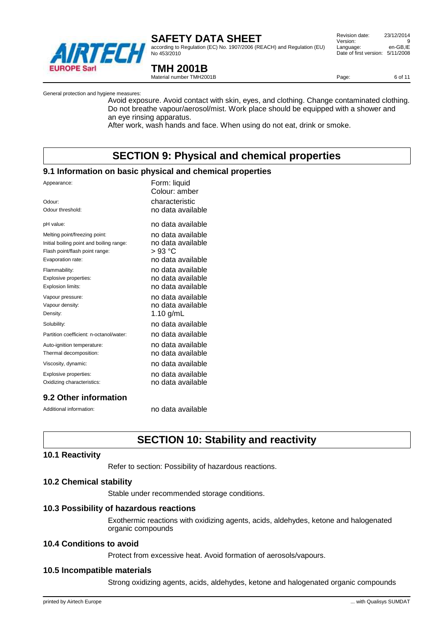

according to Regulation (EC) No. 1907/2006 (REACH) and Regulation (EU) No 453/2010

 Revision date: 23/12/2014 Version: 9<br>
Language: en-GB.IE Language: Date of first version: 5/11/2008

Page: 6 of 11

### **TMH 2001B**

Material number TMH2001B

General protection and hygiene measures:

Avoid exposure. Avoid contact with skin, eyes, and clothing. Change contaminated clothing. Do not breathe vapour/aerosol/mist. Work place should be equipped with a shower and an eye rinsing apparatus.

After work, wash hands and face. When using do not eat, drink or smoke.

### **SECTION 9: Physical and chemical properties**

#### **9.1 Information on basic physical and chemical properties**

| Appearance:<br>Odour:<br>Odour threshold: | Form: liquid<br>Colour: amber<br>characteristic<br>no data available |
|-------------------------------------------|----------------------------------------------------------------------|
| pH value:                                 | no data available                                                    |
| Melting point/freezing point:             | no data available                                                    |
| Initial boiling point and boiling range:  | no data available                                                    |
| Flash point/flash point range:            | > 93 °C                                                              |
| Evaporation rate:                         | no data available                                                    |
| Flammability:                             | no data available                                                    |
| Explosive properties:                     | no data available                                                    |
| Explosion limits:                         | no data available                                                    |
| Vapour pressure:                          | no data available                                                    |
| Vapour density:                           | no data available                                                    |
| Density:                                  | 1.10 $g/mL$                                                          |
| Solubility:                               | no data available                                                    |
| Partition coefficient: n-octanol/water:   | no data available                                                    |
| Auto-ignition temperature:                | no data available                                                    |
| Thermal decomposition:                    | no data available                                                    |
| Viscosity, dynamic:                       | no data available                                                    |
| Explosive properties:                     | no data available                                                    |
| Oxidizing characteristics:                | no data available                                                    |
|                                           |                                                                      |

#### **9.2 Other information**

Additional information: no data available

### **SECTION 10: Stability and reactivity**

#### **10.1 Reactivity**

Refer to section: Possibility of hazardous reactions.

#### **10.2 Chemical stability**

Stable under recommended storage conditions.

#### **10.3 Possibility of hazardous reactions**

Exothermic reactions with oxidizing agents, acids, aldehydes, ketone and halogenated organic compounds

#### **10.4 Conditions to avoid**

Protect from excessive heat. Avoid formation of aerosols/vapours.

#### **10.5 Incompatible materials**

Strong oxidizing agents, acids, aldehydes, ketone and halogenated organic compounds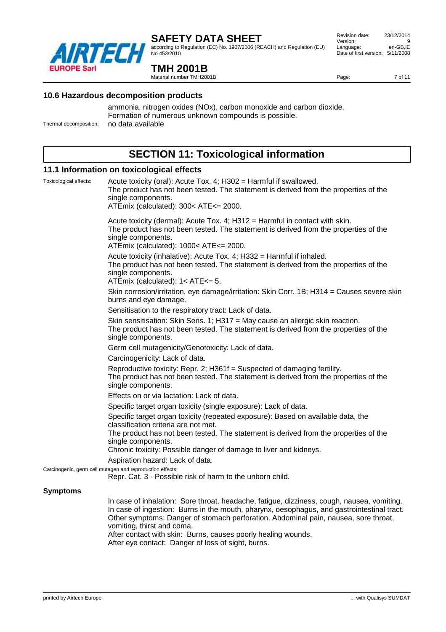

according to Regulation (EC) No. 1907/2006 (REACH) and Regulation (EU) No 453/2010

#### Revision date: 23/12/2014 Version: 9<br>
Language: en-GB.IE Language: Date of first version: 5/11/2008

Page: 7 of 11

### **TMH 2001B**

Material number TMH2001B

#### **10.6 Hazardous decomposition products**

ammonia, nitrogen oxides (NOx), carbon monoxide and carbon dioxide. Formation of numerous unknown compounds is possible. Thermal decomposition: no data available

### **SECTION 11: Toxicological information**

#### **11.1 Information on toxicological effects**

Toxicological effects: Acute toxicity (oral): Acute Tox. 4; H302 = Harmful if swallowed. The product has not been tested. The statement is derived from the properties of the single components. ATEmix (calculated): 300< ATE<= 2000. Acute toxicity (dermal): Acute Tox. 4; H312 = Harmful in contact with skin. The product has not been tested. The statement is derived from the properties of the single components. ATEmix (calculated): 1000< ATE<= 2000. Acute toxicity (inhalative): Acute Tox. 4; H332 = Harmful if inhaled. The product has not been tested. The statement is derived from the properties of the single components. ATEmix (calculated): 1< ATE<= 5. Skin corrosion/irritation, eye damage/irritation: Skin Corr. 1B; H314 = Causes severe skin burns and eye damage. Sensitisation to the respiratory tract: Lack of data. Skin sensitisation: Skin Sens. 1; H317 = May cause an allergic skin reaction. The product has not been tested. The statement is derived from the properties of the single components. Germ cell mutagenicity/Genotoxicity: Lack of data. Carcinogenicity: Lack of data. Reproductive toxicity: Repr. 2; H361f = Suspected of damaging fertility. The product has not been tested. The statement is derived from the properties of the single components. Effects on or via lactation: Lack of data. Specific target organ toxicity (single exposure): Lack of data. Specific target organ toxicity (repeated exposure): Based on available data, the classification criteria are not met. The product has not been tested. The statement is derived from the properties of the single components. Chronic toxicity: Possible danger of damage to liver and kidneys. Aspiration hazard: Lack of data. Carcinogenic, germ cell mutagen and reproduction effects: Repr. Cat. 3 - Possible risk of harm to the unborn child. **Symptoms** In case of inhalation: Sore throat, headache, fatigue, dizziness, cough, nausea, vomiting. In case of ingestion: Burns in the mouth, pharynx, oesophagus, and gastrointestinal tract.

Other symptoms: Danger of stomach perforation. Abdominal pain, nausea, sore throat, vomiting, thirst and coma. After contact with skin: Burns, causes poorly healing wounds. After eye contact: Danger of loss of sight, burns.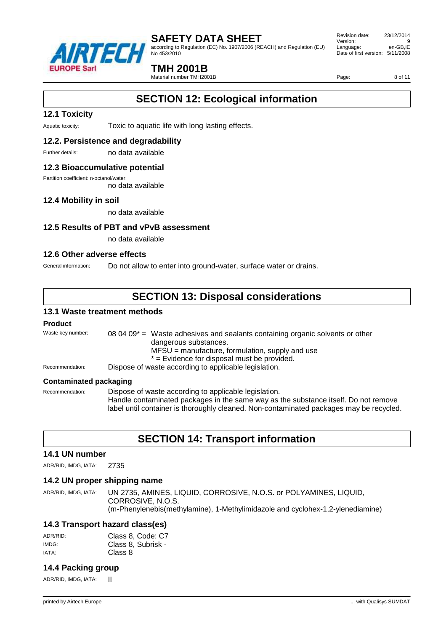

according to Regulation (EC) No. 1907/2006 (REACH) and Regulation (EU) No 453/2010

 Revision date: 23/12/2014 Version: 9<br>
Language: en-GB.IE Language: Date of first version: 5/11/2008

### **TMH 2001B**

Material number TMH2001B

Page: 8 of 11

### **SECTION 12: Ecological information**

#### **12.1 Toxicity**

Aquatic toxicity: Toxic to aquatic life with long lasting effects.

#### **12.2. Persistence and degradability**

Further details: no data available

#### **12.3 Bioaccumulative potential**

Partition coefficient: n-octanol/water:

no data available

#### **12.4 Mobility in soil**

no data available

#### **12.5 Results of PBT and vPvB assessment**

no data available

#### **12.6 Other adverse effects**

General information: Do not allow to enter into ground-water, surface water or drains.

### **SECTION 13: Disposal considerations**

#### **13.1 Waste treatment methods**

#### **Product**

| Waste key number: | 08 04 09 $^*$ = Waste adhesives and sealants containing organic solvents or other<br>dangerous substances.<br>$MFSU =$ manufacture, formulation, supply and use<br>* = Evidence for disposal must be provided. |
|-------------------|----------------------------------------------------------------------------------------------------------------------------------------------------------------------------------------------------------------|
| Recommendation:   | Dispose of waste according to applicable legislation.                                                                                                                                                          |
| __________        |                                                                                                                                                                                                                |

#### **Contaminated packaging**

Recommendation: Dispose of waste according to applicable legislation. Handle contaminated packages in the same way as the substance itself. Do not remove label until container is thoroughly cleaned. Non-contaminated packages may be recycled.

### **SECTION 14: Transport information**

#### **14.1 UN number**

ADR/RID, IMDG, IATA: 2735

#### **14.2 UN proper shipping name**

ADR/RID, IMDG, IATA: UN 2735, AMINES, LIQUID, CORROSIVE, N.O.S. or POLYAMINES, LIQUID, CORROSIVE, N.O.S. (m-Phenylenebis(methylamine), 1-Methylimidazole and cyclohex-1,2-ylenediamine)

#### **14.3 Transport hazard class(es)**

| ADR/RID: | Class 8, Code: C7  |
|----------|--------------------|
| IMDG:    | Class 8, Subrisk - |
| IATA:    | Class 8            |

#### **14.4 Packing group**

ADR/RID, IMDG, IATA: |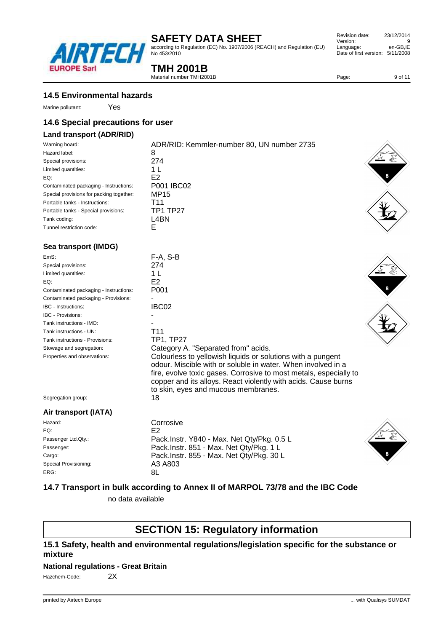according to Regulation (EC) No. 1907/2006 (REACH) and Regulation (EU) No 453/2010

### **TMH 2001B**

 $F-A. S-B$ 

P001

IBC02

T11 TP1, TP27

Passenger Ltd.Qty.: Pack.Instr. Y840 - Max. Net Qty/Pkg. 0.5 L<br>Passenger: Pack.Instr. 851 - Max. Net Qty/Pkg. 1 L

Cargo: Pack.Instr. 855 - Max. Net Qty/Pkg. 30 L

Material number TMH2001B

| <b>14.5 Environmental hazards</b> |  |
|-----------------------------------|--|
|-----------------------------------|--|

**FUROPE Sarl** 

### **14.6 Special precautions for user**

Yes

#### **Land transport (ADR/RID)**

| Sea transport (IMDG)                     |                                            |                                    |
|------------------------------------------|--------------------------------------------|------------------------------------|
| Tunnel restriction code:                 | E                                          |                                    |
|                                          |                                            |                                    |
| Tank coding:                             | L4BN                                       |                                    |
| Portable tanks - Special provisions:     | TP1 TP27                                   |                                    |
| Portable tanks - Instructions:           | T11                                        |                                    |
| Special provisions for packing together: | MP15                                       |                                    |
| Contaminated packaging - Instructions:   | P001 IBC02                                 |                                    |
| EQ:                                      | E2                                         |                                    |
| Limited quantities:                      | 1 L                                        |                                    |
| Special provisions:                      | 274                                        |                                    |
| Hazard label:                            | 8                                          | $\left\langle \cdot \right\rangle$ |
| Warning board:                           | ADR/RID: Kemmler-number 80, UN number 2735 |                                    |

| EmS:                                   | r-A             |
|----------------------------------------|-----------------|
| Special provisions:                    | 274             |
| Limited quantities:                    | 1 I             |
| EQ:                                    | E2.             |
| Contaminated packaging - Instructions: | POO             |
| Contaminated packaging - Provisions:   |                 |
| IBC - Instructions:                    | IBC             |
| <b>IBC - Provisions:</b>               |                 |
| Tank instructions - IMO:               |                 |
| Tank instructions - UN:                | T <sub>11</sub> |
| Tank instructions - Provisions:        | TP1             |
| Stowage and segregation:               | Cat             |
| Properties and observations:           | Col             |

Segregation group: 18

Hazard: Corrosive EQ: E2

Special Provisioning: 
A3 A803<br>
ERG: 
A ERG: 8L

**Air transport (IATA)**









### **14.7 Transport in bulk according to Annex II of MARPOL 73/78 and the IBC Code**

to skin, eyes and mucous membranes.

Pack.Instr. 851 - Max. Net Qty/Pkg. 1 L

no data available

### **SECTION 15: Regulatory information**

#### **15.1 Safety, health and environmental regulations/legislation specific for the substance or mixture**

#### **National regulations - Great Britain**

Hazchem-Code: 2X



Page: 9 of 11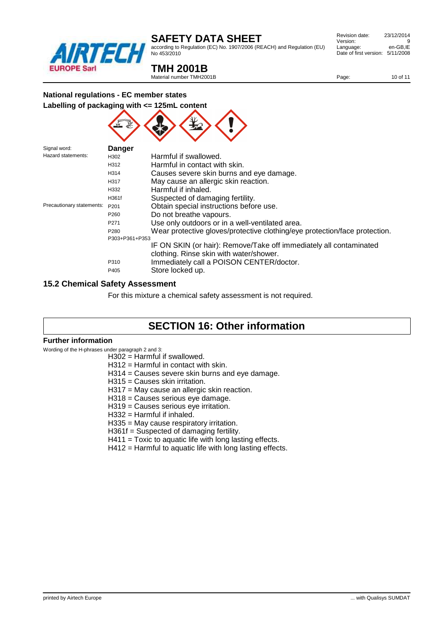

Signal word: **Danger**

### **SAFETY DATA SHEET**

according to Regulation (EC) No. 1907/2006 (REACH) and Regulation (EU) No 453/2010

| Revision date:         | 23/12/2014 |
|------------------------|------------|
| Version:               | 9          |
| Language:              | en-GB.IE   |
| Date of first version: | 5/11/2008  |
|                        |            |

### **TMH 2001B**

Material number TMH2001B

Page: 10 of 11

#### **National regulations - EC member states**





| <b>Jiyilal WUIU.</b>      | Danyer           |                                                                            |
|---------------------------|------------------|----------------------------------------------------------------------------|
| Hazard statements:        | H302             | Harmful if swallowed.                                                      |
|                           | H312             | Harmful in contact with skin.                                              |
|                           | H314             | Causes severe skin burns and eye damage.                                   |
|                           | H317             | May cause an allergic skin reaction.                                       |
|                           | H332             | Harmful if inhaled.                                                        |
|                           | H361f            | Suspected of damaging fertility.                                           |
| Precautionary statements: | P <sub>201</sub> | Obtain special instructions before use.                                    |
|                           | P <sub>260</sub> | Do not breathe vapours.                                                    |
|                           | P271             | Use only outdoors or in a well-ventilated area.                            |
|                           | P280             | Wear protective gloves/protective clothing/eye protection/face protection. |
|                           | P303+P361+P353   |                                                                            |
|                           |                  | IF ON SKIN (or hair): Remove/Take off immediately all contaminated         |
|                           |                  | clothing. Rinse skin with water/shower.                                    |
|                           | P310             | Immediately call a POISON CENTER/doctor.                                   |
|                           | P405             | Store locked up.                                                           |
|                           |                  |                                                                            |

#### **15.2 Chemical Safety Assessment**

For this mixture a chemical safety assessment is not required.

### **SECTION 16: Other information**

#### **Further information**

Wording of the H-phrases under paragraph 2 and 3:

- H302 = Harmful if swallowed.
- H312 = Harmful in contact with skin.
- H314 = Causes severe skin burns and eye damage.
- H315 = Causes skin irritation.
- H317 = May cause an allergic skin reaction.
- H318 = Causes serious eye damage.
- H319 = Causes serious eye irritation.
- H332 = Harmful if inhaled.
- H335 = May cause respiratory irritation.
- H361f = Suspected of damaging fertility.
- H411 = Toxic to aquatic life with long lasting effects.
- H412 = Harmful to aquatic life with long lasting effects.